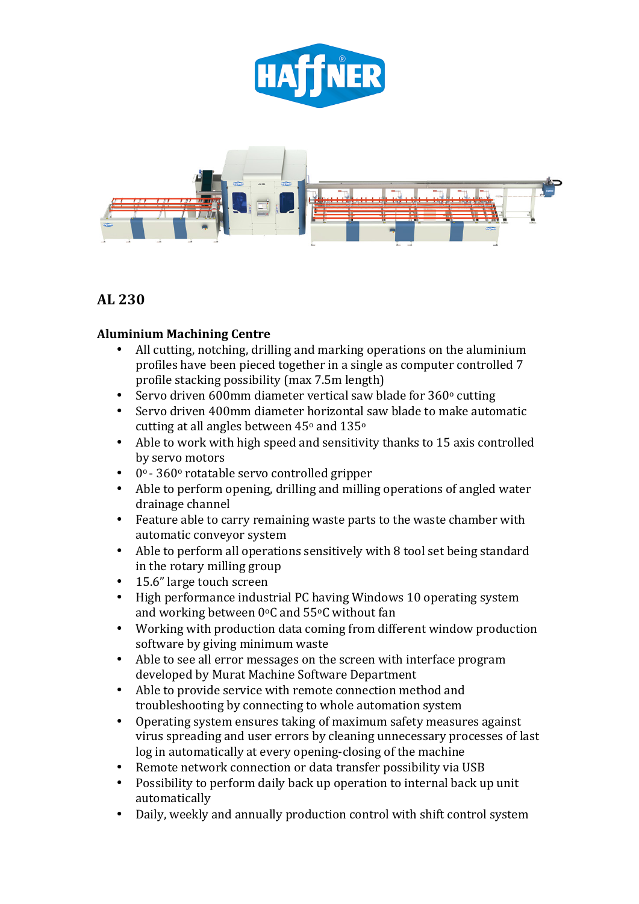



# **AL 230**

## **Aluminium Machining Centre**

- All cutting, notching, drilling and marking operations on the aluminium profiles have been pieced together in a single as computer controlled 7 profile stacking possibility (max 7.5m length)
- Servo driven 600mm diameter vertical saw blade for  $360^\circ$  cutting
- Servo driven 400mm diameter horizontal saw blade to make automatic cutting at all angles between  $45^{\circ}$  and  $135^{\circ}$
- Able to work with high speed and sensitivity thanks to 15 axis controlled by servo motors
- $\cdot$  0° 360° rotatable servo controlled gripper
- Able to perform opening, drilling and milling operations of angled water drainage channel
- Feature able to carry remaining waste parts to the waste chamber with automatic conveyor system
- Able to perform all operations sensitively with 8 tool set being standard in the rotary milling group
- 15.6" large touch screen
- High performance industrial PC having Windows 10 operating system and working between  $0^{\circ}$ C and 55 $^{\circ}$ C without fan
- Working with production data coming from different window production software by giving minimum waste
- Able to see all error messages on the screen with interface program developed by Murat Machine Software Department
- Able to provide service with remote connection method and troubleshooting by connecting to whole automation system
- Operating system ensures taking of maximum safety measures against virus spreading and user errors by cleaning unnecessary processes of last log in automatically at every opening-closing of the machine
- Remote network connection or data transfer possibility via USB
- Possibility to perform daily back up operation to internal back up unit automatically
- Daily, weekly and annually production control with shift control system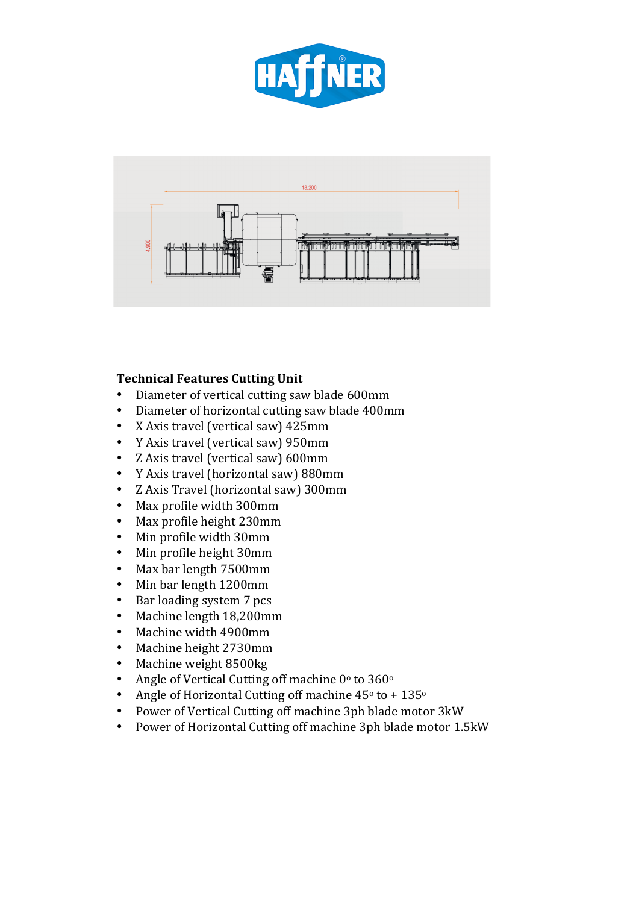



#### **Technical Features Cutting Unit**

- Diameter of vertical cutting saw blade 600mm
- Diameter of horizontal cutting saw blade 400mm
- X Axis travel (vertical saw) 425mm
- Y Axis travel (vertical saw) 950mm
- Z Axis travel (vertical saw) 600mm
- Y Axis travel (horizontal saw) 880mm
- Z Axis Travel (horizontal saw) 300mm
- Max profile width 300mm
- Max profile height 230mm
- Min profile width 30mm
- Min profile height 30mm
- Max bar length 7500mm
- Min bar length 1200mm
- Bar loading system 7 pcs
- Machine length 18,200mm
- Machine width 4900mm
- Machine height 2730mm
- Machine weight 8500kg
- Angle of Vertical Cutting off machine  $0^\circ$  to  $360^\circ$
- Angle of Horizontal Cutting off machine  $45^\circ$  to +  $135^\circ$
- Power of Vertical Cutting off machine 3ph blade motor 3kW
- Power of Horizontal Cutting off machine 3ph blade motor 1.5kW